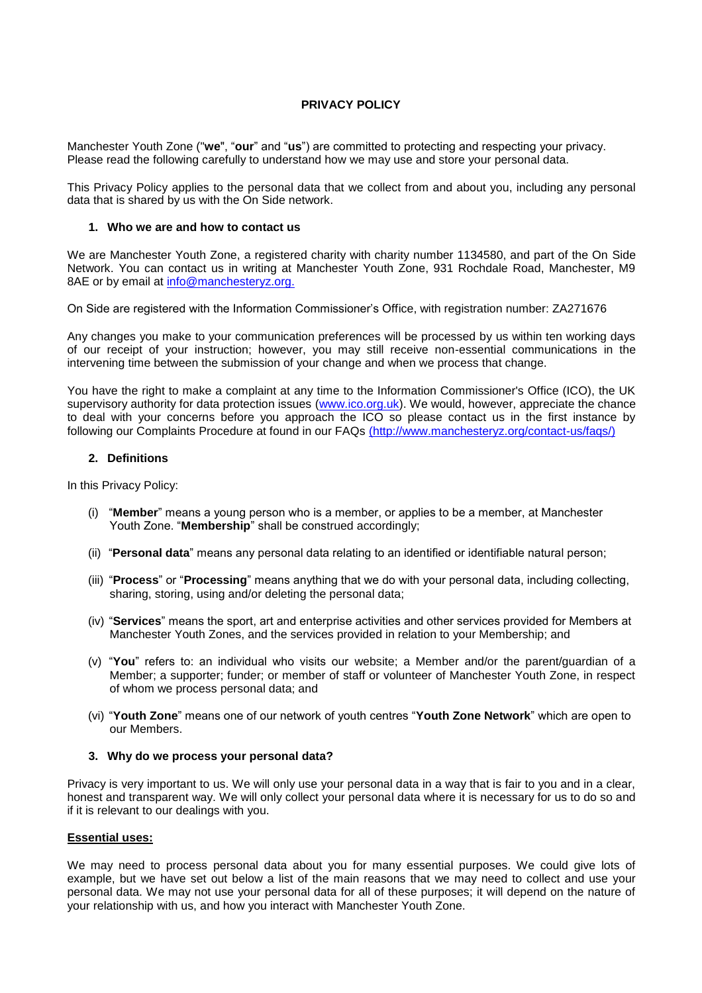# **PRIVACY POLICY**

Manchester Youth Zone ("**we**", "**our**" and "**us**") are committed to protecting and respecting your privacy. Please read the following carefully to understand how we may use and store your personal data.

This Privacy Policy applies to the personal data that we collect from and about you, including any personal data that is shared by us with the On Side network.

#### **1. Who we are and how to contact us**

We are Manchester Youth Zone, a registered charity with charity number 1134580, and part of the On Side Network. You can contact us in writing at Manchester Youth Zone, 931 Rochdale Road, Manchester, M9 8AE or by email at [info@manchesteryz.org.](mailto:info@manchesteryz.org.)

On Side are registered with the Information Commissioner's Office, with registration number: ZA271676

Any changes you make to your communication preferences will be processed by us within ten working days of our receipt of your instruction; however, you may still receive non-essential communications in the intervening time between the submission of your change and when we process that change.

You have the right to make a complaint at any time to the Information Commissioner's Office (ICO), the UK supervisory authority for data protection issues [\(www.ico.org.uk\).](http://www.ico.org.uk/) We would, however, appreciate the chance to deal with your concerns before you approach the ICO so please contact us in the first instance by following our Complaints Procedure at found in our FAQs [\(http://www.manchesteryz.org/contact-us/faqs/\)]((http:/www.manchesteryz.org/contact-us/faqs/))

## **2. Definitions**

In this Privacy Policy:

- (i) "**Member**" means a young person who is a member, or applies to be a member, at Manchester Youth Zone. "**Membership**" shall be construed accordingly;
- (ii) "**Personal data**" means any personal data relating to an identified or identifiable natural person;
- (iii) "**Process**" or "**Processing**" means anything that we do with your personal data, including collecting, sharing, storing, using and/or deleting the personal data;
- (iv) "**Services**" means the sport, art and enterprise activities and other services provided for Members at Manchester Youth Zones, and the services provided in relation to your Membership; and
- (v) "**You**" refers to: an individual who visits our website; a Member and/or the parent/guardian of a Member; a supporter; funder; or member of staff or volunteer of Manchester Youth Zone, in respect of whom we process personal data; and
- (vi) "**Youth Zone**" means one of our network of youth centres "**Youth Zone Network**" which are open to our Members.

## **3. Why do we process your personal data?**

Privacy is very important to us. We will only use your personal data in a way that is fair to you and in a clear, honest and transparent way. We will only collect your personal data where it is necessary for us to do so and if it is relevant to our dealings with you.

## **Essential uses:**

We may need to process personal data about you for many essential purposes. We could give lots of example, but we have set out below a list of the main reasons that we may need to collect and use your personal data. We may not use your personal data for all of these purposes; it will depend on the nature of your relationship with us, and how you interact with Manchester Youth Zone.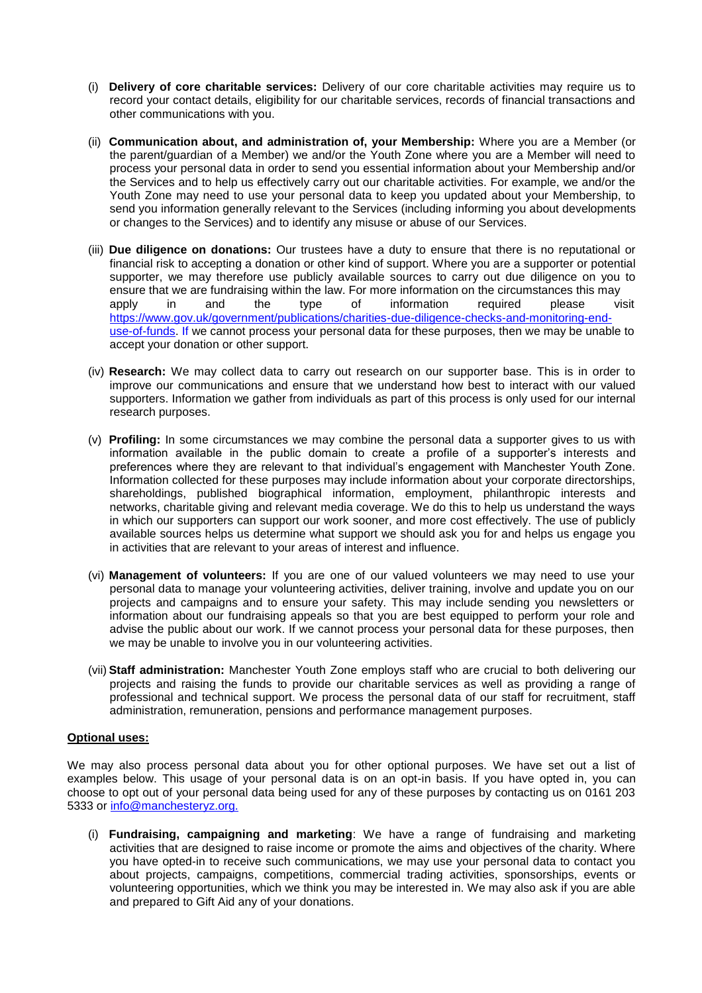- (i) **Delivery of core charitable services:** Delivery of our core charitable activities may require us to record your contact details, eligibility for our charitable services, records of financial transactions and other communications with you.
- (ii) **Communication about, and administration of, your Membership:** Where you are a Member (or the parent/guardian of a Member) we and/or the Youth Zone where you are a Member will need to process your personal data in order to send you essential information about your Membership and/or the Services and to help us effectively carry out our charitable activities. For example, we and/or the Youth Zone may need to use your personal data to keep you updated about your Membership, to send you information generally relevant to the Services (including informing you about developments or changes to the Services) and to identify any misuse or abuse of our Services.
- (iii) **Due diligence on donations:** Our trustees have a duty to ensure that there is no reputational or financial risk to accepting a donation or other kind of support. Where you are a supporter or potential supporter, we may therefore use publicly available sources to carry out due diligence on you to ensure that we are fundraising within the law. For more information on the circumstances this may apply in and the type of information required please visit [https://www.gov.uk/government/publications/charities-due-diligence-checks-and-monitoring-end](https://www.gov.uk/government/publications/charities-due-diligence-checks-and-monitoring-end-use-of-funds)[use-of-funds. I](https://www.gov.uk/government/publications/charities-due-diligence-checks-and-monitoring-end-use-of-funds)f we cannot process your personal data for these purposes, then we may be unable to accept your donation or other support.
- (iv) **Research:** We may collect data to carry out research on our supporter base. This is in order to improve our communications and ensure that we understand how best to interact with our valued supporters. Information we gather from individuals as part of this process is only used for our internal research purposes.
- (v) **Profiling:** In some circumstances we may combine the personal data a supporter gives to us with information available in the public domain to create a profile of a supporter's interests and preferences where they are relevant to that individual's engagement with Manchester Youth Zone. Information collected for these purposes may include information about your corporate directorships, shareholdings, published biographical information, employment, philanthropic interests and networks, charitable giving and relevant media coverage. We do this to help us understand the ways in which our supporters can support our work sooner, and more cost effectively. The use of publicly available sources helps us determine what support we should ask you for and helps us engage you in activities that are relevant to your areas of interest and influence.
- (vi) **Management of volunteers:** If you are one of our valued volunteers we may need to use your personal data to manage your volunteering activities, deliver training, involve and update you on our projects and campaigns and to ensure your safety. This may include sending you newsletters or information about our fundraising appeals so that you are best equipped to perform your role and advise the public about our work. If we cannot process your personal data for these purposes, then we may be unable to involve you in our volunteering activities.
- (vii) **Staff administration:** Manchester Youth Zone employs staff who are crucial to both delivering our projects and raising the funds to provide our charitable services as well as providing a range of professional and technical support. We process the personal data of our staff for recruitment, staff administration, remuneration, pensions and performance management purposes.

# **Optional uses:**

We may also process personal data about you for other optional purposes. We have set out a list of examples below. This usage of your personal data is on an opt-in basis. If you have opted in, you can choose to opt out of your personal data being used for any of these purposes by contacting us on 0161 203 5333 or [info@manchesteryz.org.](mailto:info@manchesteryz.org.)

(i) **Fundraising, campaigning and marketing**: We have a range of fundraising and marketing activities that are designed to raise income or promote the aims and objectives of the charity. Where you have opted-in to receive such communications, we may use your personal data to contact you about projects, campaigns, competitions, commercial trading activities, sponsorships, events or volunteering opportunities, which we think you may be interested in. We may also ask if you are able and prepared to Gift Aid any of your donations.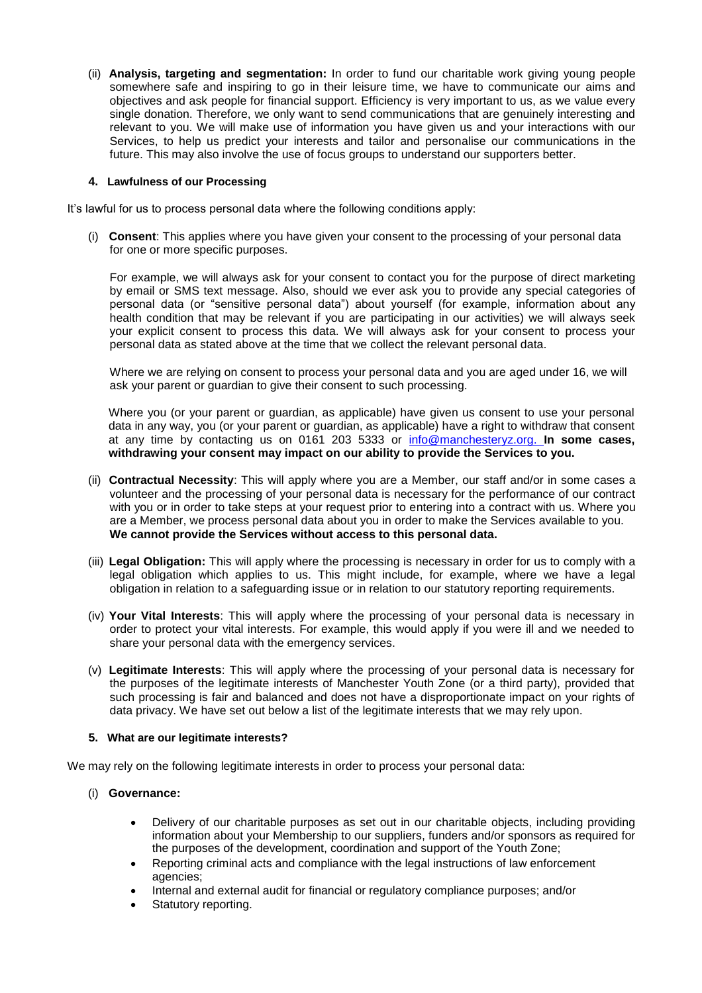(ii) **Analysis, targeting and segmentation:** In order to fund our charitable work giving young people somewhere safe and inspiring to go in their leisure time, we have to communicate our aims and objectives and ask people for financial support. Efficiency is very important to us, as we value every single donation. Therefore, we only want to send communications that are genuinely interesting and relevant to you. We will make use of information you have given us and your interactions with our Services, to help us predict your interests and tailor and personalise our communications in the future. This may also involve the use of focus groups to understand our supporters better.

## **4. Lawfulness of our Processing**

It's lawful for us to process personal data where the following conditions apply:

(i) **Consent**: This applies where you have given your consent to the processing of your personal data for one or more specific purposes.

For example, we will always ask for your consent to contact you for the purpose of direct marketing by email or SMS text message. Also, should we ever ask you to provide any special categories of personal data (or "sensitive personal data") about yourself (for example, information about any health condition that may be relevant if you are participating in our activities) we will always seek your explicit consent to process this data. We will always ask for your consent to process your personal data as stated above at the time that we collect the relevant personal data.

Where we are relying on consent to process your personal data and you are aged under 16, we will ask your parent or guardian to give their consent to such processing.

Where you (or your parent or guardian, as applicable) have given us consent to use your personal data in any way, you (or your parent or guardian, as applicable) have a right to withdraw that consent at any time by contacting us on 0161 203 5333 or [info@manchesteryz.org.](mailto:info@manchesteryz.org.) **In some cases, withdrawing your consent may impact on our ability to provide the Services to you.**

- (ii) **Contractual Necessity**: This will apply where you are a Member, our staff and/or in some cases a volunteer and the processing of your personal data is necessary for the performance of our contract with you or in order to take steps at your request prior to entering into a contract with us. Where you are a Member, we process personal data about you in order to make the Services available to you. **We cannot provide the Services without access to this personal data.**
- (iii) **Legal Obligation:** This will apply where the processing is necessary in order for us to comply with a legal obligation which applies to us. This might include, for example, where we have a legal obligation in relation to a safeguarding issue or in relation to our statutory reporting requirements.
- (iv) **Your Vital Interests**: This will apply where the processing of your personal data is necessary in order to protect your vital interests. For example, this would apply if you were ill and we needed to share your personal data with the emergency services.
- (v) **Legitimate Interests**: This will apply where the processing of your personal data is necessary for the purposes of the legitimate interests of Manchester Youth Zone (or a third party), provided that such processing is fair and balanced and does not have a disproportionate impact on your rights of data privacy. We have set out below a list of the legitimate interests that we may rely upon.

# **5. What are our legitimate interests?**

We may rely on the following legitimate interests in order to process your personal data:

- (i) **Governance:**
	- Delivery of our charitable purposes as set out in our charitable objects, including providing information about your Membership to our suppliers, funders and/or sponsors as required for the purposes of the development, coordination and support of the Youth Zone;
	- Reporting criminal acts and compliance with the legal instructions of law enforcement agencies;
	- Internal and external audit for financial or regulatory compliance purposes; and/or
	- Statutory reporting.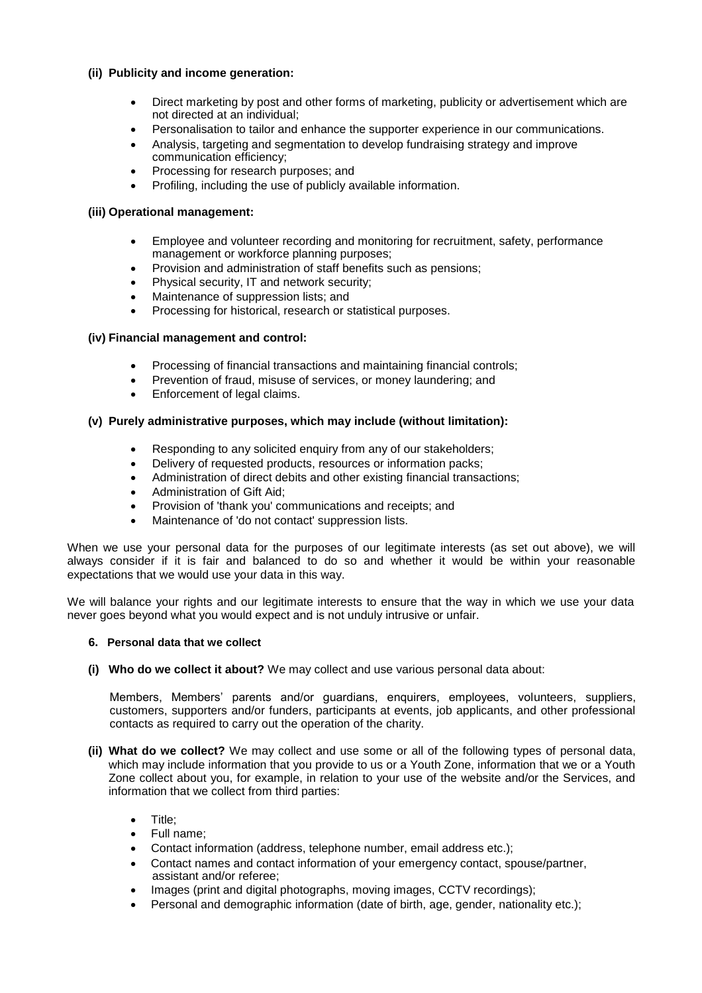# **(ii) Publicity and income generation:**

- Direct marketing by post and other forms of marketing, publicity or advertisement which are not directed at an individual;
- Personalisation to tailor and enhance the supporter experience in our communications.
- Analysis, targeting and segmentation to develop fundraising strategy and improve communication efficiency;
- Processing for research purposes; and
- Profiling, including the use of publicly available information.

## **(iii) Operational management:**

- Employee and volunteer recording and monitoring for recruitment, safety, performance management or workforce planning purposes;
- Provision and administration of staff benefits such as pensions;
- Physical security, IT and network security;
- Maintenance of suppression lists; and
- Processing for historical, research or statistical purposes.

## **(iv) Financial management and control:**

- Processing of financial transactions and maintaining financial controls;
- Prevention of fraud, misuse of services, or money laundering; and
- Enforcement of legal claims.

## **(v) Purely administrative purposes, which may include (without limitation):**

- Responding to any solicited enquiry from any of our stakeholders;
- Delivery of requested products, resources or information packs;
- Administration of direct debits and other existing financial transactions;
- Administration of Gift Aid;
- Provision of 'thank you' communications and receipts; and
- Maintenance of 'do not contact' suppression lists.

When we use your personal data for the purposes of our legitimate interests (as set out above), we will always consider if it is fair and balanced to do so and whether it would be within your reasonable expectations that we would use your data in this way.

We will balance your rights and our legitimate interests to ensure that the way in which we use your data never goes beyond what you would expect and is not unduly intrusive or unfair.

## **6. Personal data that we collect**

**(i) Who do we collect it about?** We may collect and use various personal data about:

Members, Members' parents and/or guardians, enquirers, employees, volunteers, suppliers, customers, supporters and/or funders, participants at events, job applicants, and other professional contacts as required to carry out the operation of the charity.

- **(ii) What do we collect?** We may collect and use some or all of the following types of personal data, which may include information that you provide to us or a Youth Zone, information that we or a Youth Zone collect about you, for example, in relation to your use of the website and/or the Services, and information that we collect from third parties:
	- Title;
	- Full name;
	- Contact information (address, telephone number, email address etc.);
	- Contact names and contact information of your emergency contact, spouse/partner, assistant and/or referee;
	- Images (print and digital photographs, moving images, CCTV recordings);
	- Personal and demographic information (date of birth, age, gender, nationality etc.);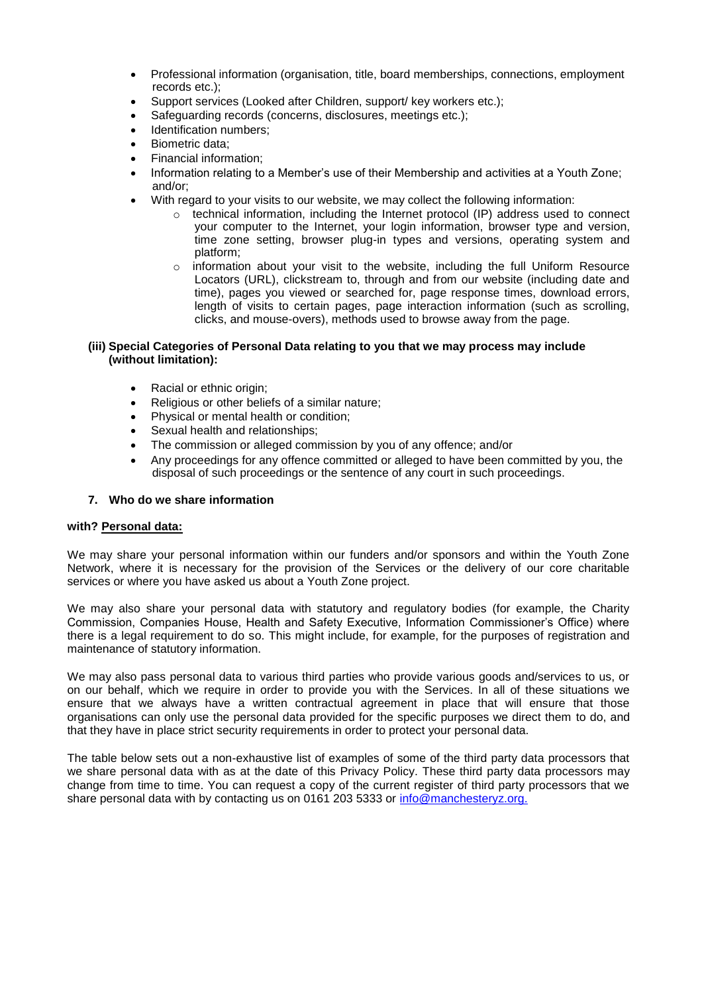- Professional information (organisation, title, board memberships, connections, employment records etc.);
- Support services (Looked after Children, support/ key workers etc.);
- Safeguarding records (concerns, disclosures, meetings etc.);
- Identification numbers;
- Biometric data;
- Financial information;
- Information relating to a Member's use of their Membership and activities at a Youth Zone; and/or;
- With regard to your visits to our website, we may collect the following information:
	- $\circ$  technical information, including the Internet protocol (IP) address used to connect your computer to the Internet, your login information, browser type and version, time zone setting, browser plug-in types and versions, operating system and platform;
	- $\circ$  information about your visit to the website, including the full Uniform Resource Locators (URL), clickstream to, through and from our website (including date and time), pages you viewed or searched for, page response times, download errors, length of visits to certain pages, page interaction information (such as scrolling, clicks, and mouse-overs), methods used to browse away from the page.

## **(iii) Special Categories of Personal Data relating to you that we may process may include (without limitation):**

- Racial or ethnic origin;
- Religious or other beliefs of a similar nature;
- Physical or mental health or condition;
- Sexual health and relationships;
- The commission or alleged commission by you of any offence; and/or
- Any proceedings for any offence committed or alleged to have been committed by you, the disposal of such proceedings or the sentence of any court in such proceedings.

# **7. Who do we share information**

# **with? Personal data:**

We may share your personal information within our funders and/or sponsors and within the Youth Zone Network, where it is necessary for the provision of the Services or the delivery of our core charitable services or where you have asked us about a Youth Zone project.

We may also share your personal data with statutory and regulatory bodies (for example, the Charity Commission, Companies House, Health and Safety Executive, Information Commissioner's Office) where there is a legal requirement to do so. This might include, for example, for the purposes of registration and maintenance of statutory information.

We may also pass personal data to various third parties who provide various goods and/services to us, or on our behalf, which we require in order to provide you with the Services. In all of these situations we ensure that we always have a written contractual agreement in place that will ensure that those organisations can only use the personal data provided for the specific purposes we direct them to do, and that they have in place strict security requirements in order to protect your personal data.

The table below sets out a non-exhaustive list of examples of some of the third party data processors that we share personal data with as at the date of this Privacy Policy. These third party data processors may change from time to time. You can request a copy of the current register of third party processors that we share personal data with by contacting us on 0161 203 5333 or [info@manchesteryz.org.](mailto:info@manchesteryz.org.)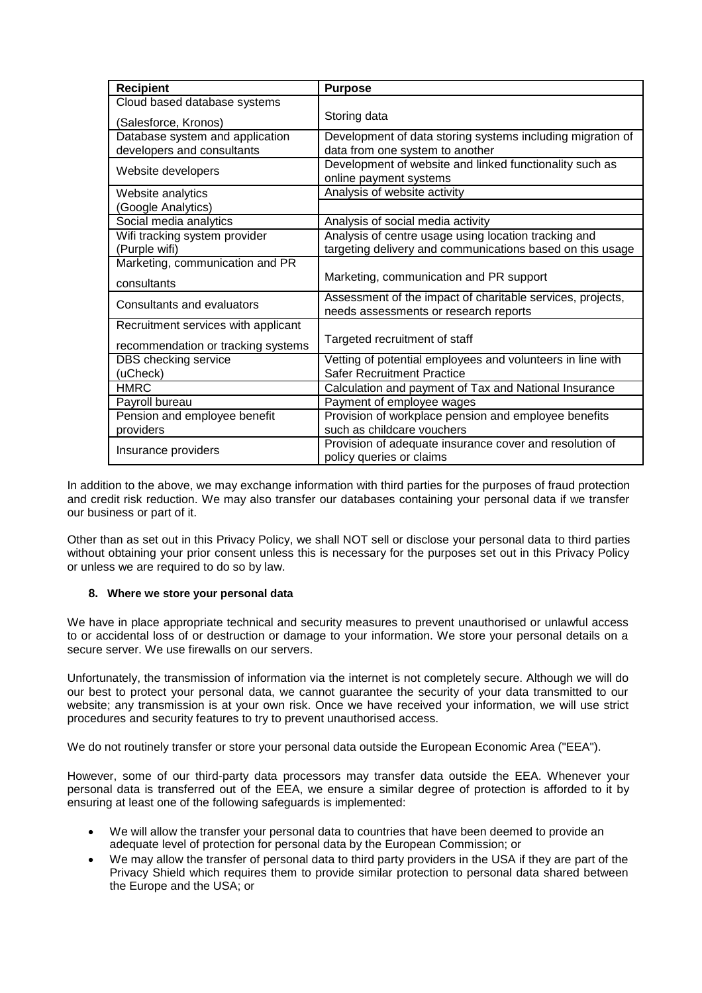| <b>Recipient</b>                    | <b>Purpose</b>                                                                      |
|-------------------------------------|-------------------------------------------------------------------------------------|
| Cloud based database systems        |                                                                                     |
| (Salesforce, Kronos)                | Storing data                                                                        |
| Database system and application     | Development of data storing systems including migration of                          |
| developers and consultants          | data from one system to another                                                     |
| Website developers                  | Development of website and linked functionality such as                             |
|                                     | online payment systems                                                              |
| Website analytics                   | Analysis of website activity                                                        |
| (Google Analytics)                  |                                                                                     |
| Social media analytics              | Analysis of social media activity                                                   |
| Wifi tracking system provider       | Analysis of centre usage using location tracking and                                |
| (Purple wifi)                       | targeting delivery and communications based on this usage                           |
| Marketing, communication and PR     |                                                                                     |
| consultants                         | Marketing, communication and PR support                                             |
| Consultants and evaluators          | Assessment of the impact of charitable services, projects,                          |
|                                     | needs assessments or research reports                                               |
| Recruitment services with applicant |                                                                                     |
| recommendation or tracking systems  | Targeted recruitment of staff                                                       |
| <b>DBS</b> checking service         | Vetting of potential employees and volunteers in line with                          |
| (uCheck)                            | <b>Safer Recruitment Practice</b>                                                   |
| <b>HMRC</b>                         | Calculation and payment of Tax and National Insurance                               |
| Payroll bureau                      | Payment of employee wages                                                           |
| Pension and employee benefit        | Provision of workplace pension and employee benefits                                |
| providers                           | such as childcare vouchers                                                          |
| Insurance providers                 | Provision of adequate insurance cover and resolution of<br>policy queries or claims |
|                                     |                                                                                     |

In addition to the above, we may exchange information with third parties for the purposes of fraud protection and credit risk reduction. We may also transfer our databases containing your personal data if we transfer our business or part of it.

Other than as set out in this Privacy Policy, we shall NOT sell or disclose your personal data to third parties without obtaining your prior consent unless this is necessary for the purposes set out in this Privacy Policy or unless we are required to do so by law.

# **8. Where we store your personal data**

We have in place appropriate technical and security measures to prevent unauthorised or unlawful access to or accidental loss of or destruction or damage to your information. We store your personal details on a secure server. We use firewalls on our servers.

Unfortunately, the transmission of information via the internet is not completely secure. Although we will do our best to protect your personal data, we cannot guarantee the security of your data transmitted to our website; any transmission is at your own risk. Once we have received your information, we will use strict procedures and security features to try to prevent unauthorised access.

We do not routinely transfer or store your personal data outside the European Economic Area ("EEA").

However, some of our third-party data processors may transfer data outside the EEA. Whenever your personal data is transferred out of the EEA, we ensure a similar degree of protection is afforded to it by ensuring at least one of the following safeguards is implemented:

- We will allow the transfer your personal data to countries that have been deemed to provide an adequate level of protection for personal data by the European Commission; or
- We may allow the transfer of personal data to third party providers in the USA if they are part of the Privacy Shield which requires them to provide similar protection to personal data shared between the Europe and the USA; or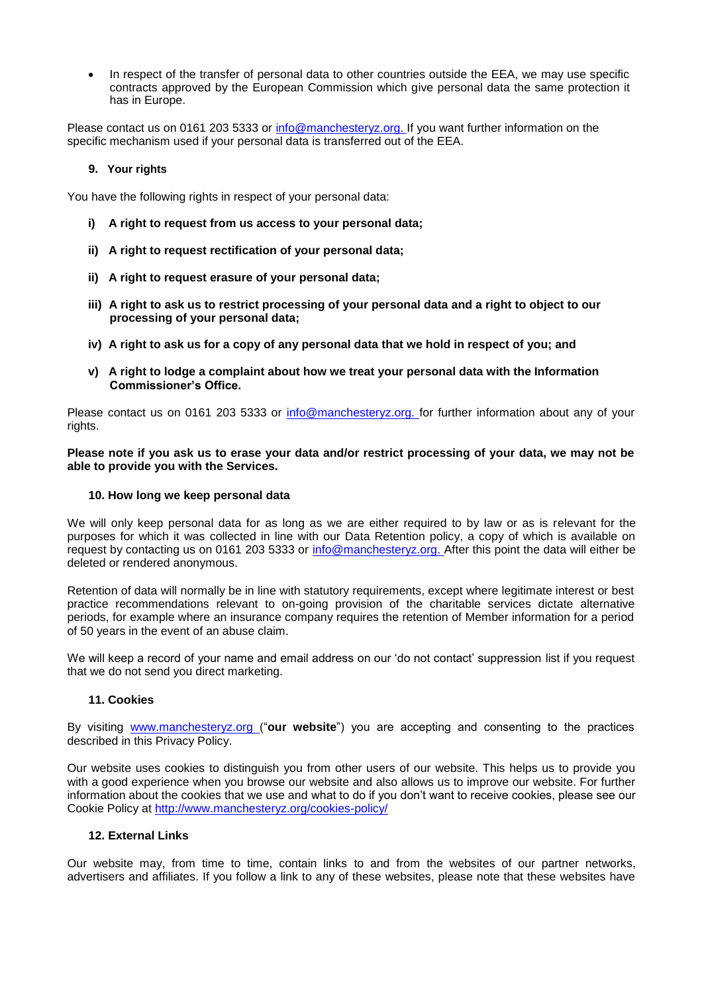• In respect of the transfer of personal data to other countries outside the EEA, we may use specific contracts approved by the European Commission which give personal data the same protection it has in Europe.

Please contact us on 0161 203 5333 or [info@manchesteryz.org. I](mailto:info@manchesteryz.org.)f you want further information on the specific mechanism used if your personal data is transferred out of the EEA.

## **9. Your rights**

You have the following rights in respect of your personal data:

- **i) A right to request from us access to your personal data;**
- **ii) A right to request rectification of your personal data;**
- **ii) A right to request erasure of your personal data;**
- **iii) A right to ask us to restrict processing of your personal data and a right to object to our processing of your personal data;**
- **iv) A right to ask us for a copy of any personal data that we hold in respect of you; and**
- **v) A right to lodge a complaint about how we treat your personal data with the Information Commissioner's Office.**

Please contact us on 0161 203 5333 or [info@manchesteryz.org. f](mailto:info@manchesteryz.org.)or further information about any of your rights.

**Please note if you ask us to erase your data and/or restrict processing of your data, we may not be able to provide you with the Services.**

#### **10. How long we keep personal data**

We will only keep personal data for as long as we are either required to by law or as is relevant for the purposes for which it was collected in line with our Data Retention policy, a copy of which is available on request by contacting us on 0161 203 5333 or [info@manchesteryz.org. A](mailto:info@manchesteryz.org.)fter this point the data will either be deleted or rendered anonymous.

Retention of data will normally be in line with statutory requirements, except where legitimate interest or best practice recommendations relevant to on-going provision of the charitable services dictate alternative periods, for example where an insurance company requires the retention of Member information for a period of 50 years in the event of an abuse claim.

We will keep a record of your name and email address on our 'do not contact' suppression list if you request that we do not send you direct marketing.

## **11. Cookies**

By visiting [www.manchesteryz.org \(](http://www.manchesteryz.org/)"**our website**") you are accepting and consenting to the practices described in this Privacy Policy.

Our website uses cookies to distinguish you from other users of our website. This helps us to provide you with a good experience when you browse our website and also allows us to improve our website. For further information about the cookies that we use and what to do if you don't want to receive cookies, please see our Cookie Policy at<http://www.manchesteryz.org/cookies-policy/>

#### **12. External Links**

Our website may, from time to time, contain links to and from the websites of our partner networks, advertisers and affiliates. If you follow a link to any of these websites, please note that these websites have